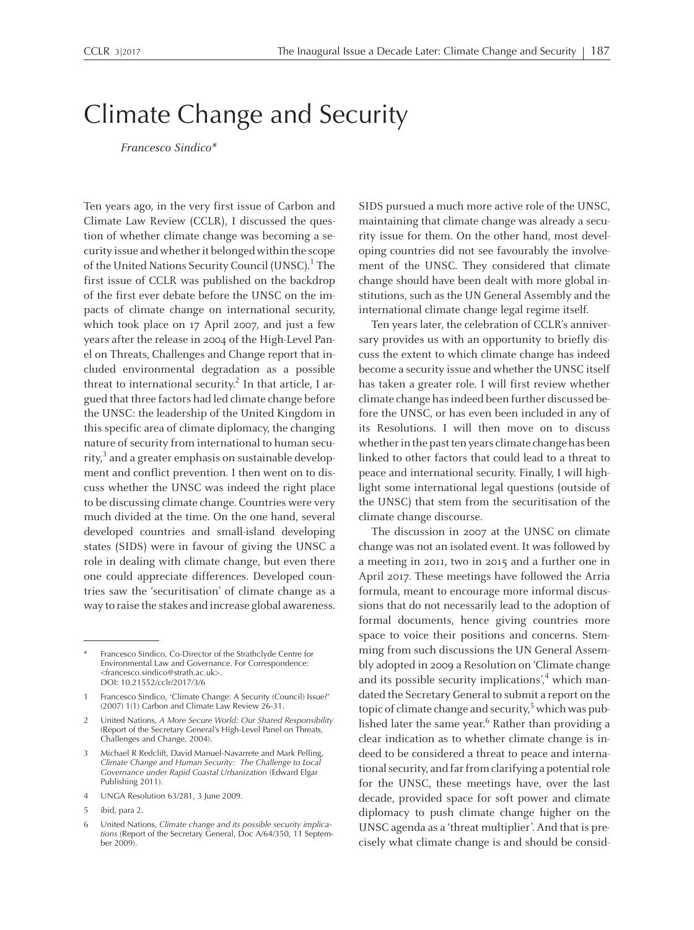## Climate Change and Security

Francesco Sindico\*

Ten years ago, in the very first issue of Carbon and Climate Law Review (CCLR), <sup>I</sup> discussed the question of whether climate change was becoming <sup>a</sup> security issue and whether it belonged within the scope of the United Nations Security Council (UNSC). 1 The first issue of CCLR was published on the backdrop of the first ever debate before the UNSC on the impacts of climate change on international security, which took place on 17 April 2007, and just <sup>a</sup> few years after the release in 2004 of the High-Level Panel on Threats, Challenges and Change repor<sup>t</sup> that included environmental degradation as <sup>a</sup> possible threat to international security.<sup>2</sup> In that article, I argued that three factors had led climate change before the UNSC: the leadership of the United Kingdom in this specific area of climate diplomacy, the changing nature of security from international to human security, 3 and <sup>a</sup> greater emphasis on sustainable development and conflict prevention. <sup>I</sup> then went on to discuss whether the UNSC was indeed the right place to be discussing climate change. Countries were very much divided at the time. On the one hand, several developed countries and small-island developing states (SIDS) were in favour of giving the UNSC <sup>a</sup> role in dealing with climate change, but even there one could appreciate differences. Developed countries saw the 'securitisation' of climate change as <sup>a</sup> way to raise the stakes and increase global awareness. SIDS pursued <sup>a</sup> much more active role of the UNSC, maintaining that climate change was already <sup>a</sup> security issue for them. On the other hand, most developing countries did not see favourably the involvement of the UNSC. They considered that climate change should have been dealt with more global institutions, such as the UN General Assembly and the international climate change legal regime itself.

Ten years later, the celebration of CCLR's anniversary provides us with an opportunity to briefly discuss the extent to which climate change has indeed become <sup>a</sup> security issue and whether the UNSC itself has taken <sup>a</sup> greater role. <sup>I</sup> will first review whether climate change hasindeed been further discussed before the UNSC, or has even been included in any of its Resolutions. I will then move on to discuss whether in the past ten years climate change has been linked to other factors that could lead to <sup>a</sup> threat to peace and international security. Finally, <sup>I</sup> will highlight some international legal questions (outside of the UNSC) that stem from the securitisation of the climate change discourse.

The discussion in 2007 at the UNSC on climate change was not an isolated event. It was followed by <sup>a</sup> meeting in 2011, two in 2015 and <sup>a</sup> further one in April 2017. These meetings have followed the Arria formula, meant to encourage more informal discussions that do not necessarily lead to the adoption of formal documents, hence giving countries more space to voice their positions and concerns. Stemming from such discussions the UN General Assembly adopted in 2009 <sup>a</sup> Resolution on 'Climate change and its possible security implications',<sup>4</sup> which mandated the Secretary General to submit <sup>a</sup> repor<sup>t</sup> on the topic of climate change and security, 5 which was published later the same year. 6 Rather than providing <sup>a</sup> clear indication as to whether climate change is indeed to be considered <sup>a</sup> threat to peace and international security, and far from clarifying a potential role for the UNSC, these meetings have, over the last decade, provided space for soft power and climate diplomacy to push climate change higher on the UNSC agenda as a 'threat multiplier'. And that is precisely what climate change is and should be consid-

Francesco Sindico, Co-Director of the Strathclyde Centre for Environmental Law and Governance. For Correspondence: <francesco.sindico@strath.ac.uk>. DOI: 10.21552/cclr/2017/3/6

<sup>1</sup> Francesco Sindico, 'Climate Change: <sup>A</sup> Security (Council) Issue?' (2007) 1(1) Carbon and Climate Law Review 26-31.

<sup>2</sup> United Nations, *<sup>A</sup> More Secure World: Our Shared Responsibility* (Report of the Secretary General's High-Level Panel on Threats, Challenges and Change, 2004).

<sup>3</sup> Michael <sup>R</sup> Redclift, David Manuel-Navarrete and Mark Pelling, *Climate Change and Human Security: The Challenge to Local Governance under Rapid Coastal Urbanization* (Edward Elgar Publishing 2011).

<sup>4</sup> UNGA Resolution 63/281, 3 June 2009.

<sup>5</sup> ibid, para 2.

<sup>6</sup> United Nations, *Climate change and its possible security implications* (Report of the Secretary General, Doc A/64/350, <sup>11</sup> September 2009).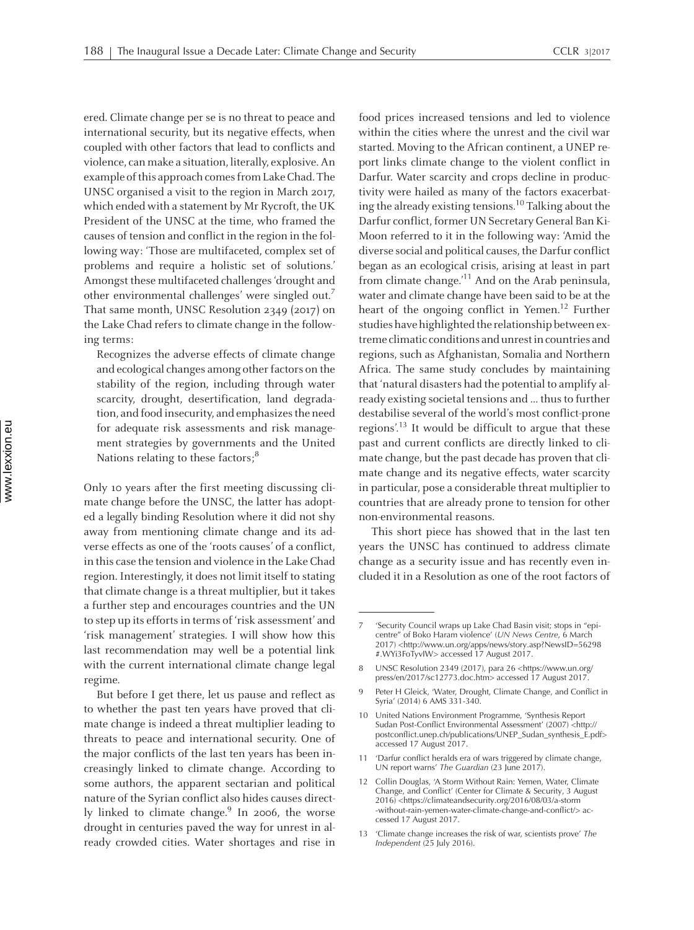ered. Climate change per se is no threat to peace and international security, but its negative effects, when coupled with other factors that lead to conflicts and violence, canmake <sup>a</sup> situation, literally, explosive.An example of this approach comes from Lake Chad. The UNSC organised <sup>a</sup> visit to the region in March 2017, which ended with <sup>a</sup> statement by Mr Rycroft, the UK President of the UNSC at the time, who framed the causes of tension and conflict in the region in the following way: 'Those are multifaceted, complex set of problems and require <sup>a</sup> holistic set of solutions.' Amongst thesemultifaceted challenges'drought and other environmental challenges' were singled out.<sup>7</sup> That same month, UNSC Resolution 2349 (2017) on the Lake Chad refers to climate change in the following terms:

Recognizes the adverse effects of climate change and ecological changes among other factors on the stability of the region, including through water scarcity, drought, desertification, land degradation, and food insecurity, and emphasizes the need for adequate risk assessments and risk management strategies by governments and the United Nations relating to these factors; $^8$ 

Only <sup>10</sup> years after the first meeting discussing climate change before the UNSC, the latter has adopted <sup>a</sup> legally binding Resolution where it did not shy away from mentioning climate change and its adverse effects as one of the 'roots causes' of <sup>a</sup> conflict, in this case the tension and violence in the Lake Chad region. Interestingly, it does not limit itself to stating that climate change is a threat multiplier, but it takes <sup>a</sup> further step and encourages countries and the UN to step up its efforts in terms of 'risk assessment' and 'risk management' strategies. <sup>I</sup> will show how this last recommendation may well be <sup>a</sup> potential link with the current international climate change legal regime.

But before <sup>I</sup> ge<sup>t</sup> there, let us pause and reflect as to whether the pas<sup>t</sup> ten years have proved that climate change is indeed <sup>a</sup> threat multiplier leading to threats to peace and international security. One of the major conflicts of the last ten years has been increasingly linked to climate change. According to some authors, the apparen<sup>t</sup> sectarian and political nature of the Syrian conflict also hides causes directly linked to climate change. 9 In 2006, the worse drought in centuries paved the way for unrest in already crowded cities. Water shortages and rise in food prices increased tensions and led to violence within the cities where the unrest and the civil war started. Moving to the African continent, <sup>a</sup> UNEP repor<sup>t</sup> links climate change to the violent conflict in Darfur. Water scarcity and crops decline in productivity were hailed as many of the factors exacerbating the already existing tensions. 10 Talking about the Darfur conflict, former UN Secretary General Ban Ki-Moon referred to it in the following way: 'Amid the diverse social and political causes, the Darfur conflict began as an ecological crisis, arising at least in par<sup>t</sup> from climate change.' 11 And on the Arab peninsula, water and climate change have been said to be at the heart of the ongoing conflict in Yemen. 12 Further studies have highlighted the relationship between extreme climatic conditions and unrest in countries and regions, such as Afghanistan, Somalia and Northern Africa. The same study concludes by maintaining that 'natural disasters had the potential to amplify already existing societal tensions and ... thus to further destabilise several of the world's most conflict-prone regions'.<sup>13</sup> It would be difficult to argue that these pas<sup>t</sup> and current conflicts are directly linked to climate change, but the pas<sup>t</sup> decade has proven that climate change and its negative effects, water scarcity in particular, pose a considerable threat multiplier to countries that are already prone to tension for other non-environmental reasons. l<br>I

This short piece has showed that in the last ten years the UNSC has continued to address climate change as <sup>a</sup> security issue and has recently even included it in <sup>a</sup> Resolution as one of the root factors of

<sup>&#</sup>x27;Security Council wraps up Lake Chad Basin visit; stops in "epicentre" of Boko Haram violence' (*UN News Centre*, 6 March 2017) <http://www.un.org/apps/news/story.asp?NewsID=56298 #.WYi3FoTyvIW> accessed <sup>17</sup> August 2017.

<sup>8</sup> UNSC Resolution <sup>2349</sup> (2017), para <sup>26</sup> <https://www.un.org/ press/en/2017/sc12773.doc.htm> accessed <sup>17</sup> August 2017.

<sup>9</sup> Peter <sup>H</sup> Gleick, 'Water, Drought, Climate Change, and Conflict in Syria' (2014) 6 AMS 331-340.

<sup>10</sup> United Nations Environment Programme, 'Synthesis Report Sudan Post-Conflict Environmental Assessment' (2007) <http:// postconflict.unep.ch/publications/UNEP\_Sudan\_synthesis\_E.pdf> accessed <sup>17</sup> August 2017.

<sup>11</sup> 'Darfur conflict heralds era of wars triggered by climate change, UN repor<sup>t</sup> warns' *The Guardian* (23 June 2017).

<sup>12</sup> Collin Douglas, 'A Storm Without Rain: Yemen, Water, Climate Change, and Conflict' (Center for Climate & Security, <sup>3</sup> August 2016) <https://climateandsecurity.org/2016/08/03/a-storm -without-rain-yemen-water-climate-change-and-conflict/> accessed <sup>17</sup> August 2017.

<sup>13</sup> 'Climate change increases the risk of war, scientists prove' *The Independent* (25 July 2016).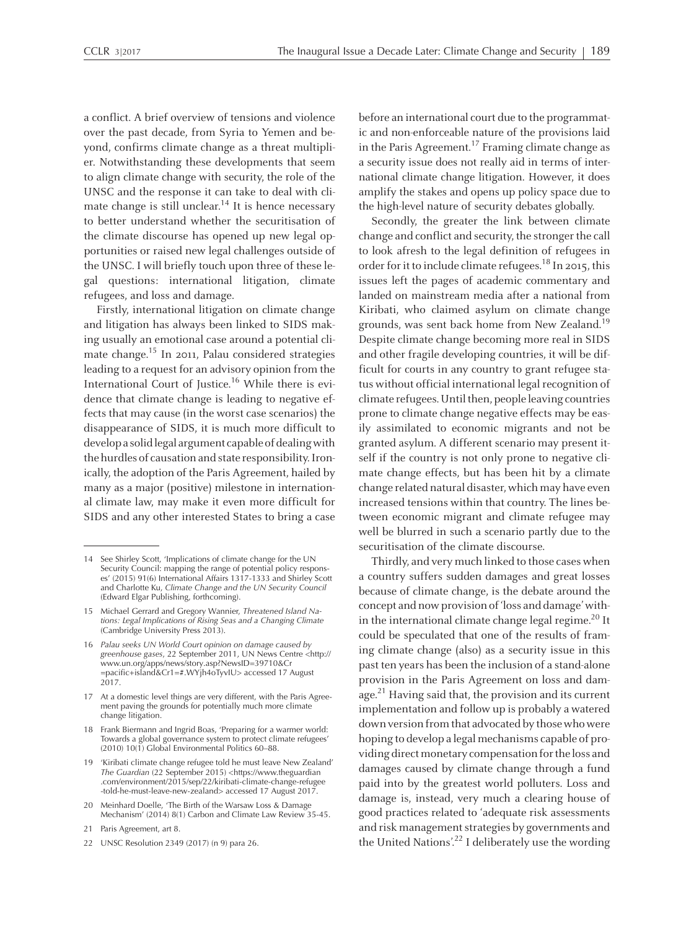<sup>a</sup> conflict. Abrief overview of tensions and violence over the pas<sup>t</sup> decade, from Syria to Yemen and beyond, confirms climate change as <sup>a</sup> threat multiplier. Notwithstanding these developments that seem to align climate change with security, the role of the UNSC and the response it can take to deal with climate change is still unclear.<sup>14</sup> It is hence necessary to better understand whether the securitisation of the climate discourse has opened up new legal opportunities or raised new legal challenges outside of the UNSC. <sup>I</sup> will briefly touch upon three of these legal questions: international litigation, climate refugees, and loss and damage.

Firstly, international litigation on climate change and litigation has always been linked to SIDS making usually an emotional case around <sup>a</sup> potential climate change. 15 In 2011, Palau considered strategies leading to <sup>a</sup> reques<sup>t</sup> for an advisory opinion fromthe International Court of Justice. <sup>16</sup> While there is evidence that climate change is leading to negative effects that may cause (in the worst case scenarios) the disappearance of SIDS, it is much more difficult to develop a solid legal argument capable of dealing with the hurdles of causation and state responsibility. Ironically, the adoption of the Paris Agreement, hailed by many as <sup>a</sup> major (positive) milestone in international climate law, may make it even more difficult for SIDS and any other interested States to bring <sup>a</sup> case

- <sup>18</sup> Frank Biermann and Ingrid Boas, 'Preparing for <sup>a</sup> warmer world: Towards <sup>a</sup> global governance system to protect climate refugees' (2010) 10(1) Global Environmental Politics 60–88.
- <sup>19</sup> 'Kiribati climate change refugee told he must leave New Zealand' *The Guardian* (22 September 2015) <https://www.theguardian .com/environment/2015/sep/22/kiribati-climate-change-refugee -told-he-must-leave-new-zealand> accessed <sup>17</sup> August 2017.
- <sup>20</sup> Meinhard Doelle, 'The Birth of the Warsaw Loss & Damage Mechanism' (2014) 8(1) Carbon and Climate Law Review 35-45.
- 21 Paris Agreement, art 8.
- <sup>22</sup> UNSC Resolution <sup>2349</sup> (2017) (n 9) para 26.

before an international court due to the programmatic and non-enforceable nature of the provisions laid in the Paris Agreement. 17 Framing climate change as <sup>a</sup> security issue does not really aid in terms of international climate change litigation. However, it does amplify the stakes and opens up policy space due to the high-level nature of security debates globally.

Secondly, the greater the link between climate change and conflict and security, the stronger the call to look afresh to the legal definition of refugees in order for it to include climate refugees.<sup>18</sup> In 2015, this issues left the pages of academic commentary and landed on mainstream media after <sup>a</sup> national from Kiribati, who claimed asylum on climate change grounds, was sent back home from New Zealand.<sup>19</sup> Despite climate change becoming more real in SIDS and other fragile developing countries, it will be difficult for courts in any country to gran<sup>t</sup> refugee status without official international legal recognition of climate refugees. Until then, people leaving countries prone to climate change negative effects may be easily assimilated to economic migrants and not be granted asylum. Adifferent scenario may presen<sup>t</sup> itself if the country is not only prone to negative climate change effects, but has been hit by <sup>a</sup> climate change related natural disaster, which may have even increased tensions within that country. The lines between economic migrant and climate refugee may well be blurred in such <sup>a</sup> scenario partly due to the securitisation of the climate discourse.

Thirdly, and very much linked to those cases when <sup>a</sup> country suffers sudden damages and grea<sup>t</sup> losses because of climate change, is the debate around the concep<sup>t</sup> and nowprovision of'loss and damage'within the international climate change legal regime.<sup>20</sup> It could be speculated that one of the results of framing climate change (also) as <sup>a</sup> security issue in this pas<sup>t</sup> ten years has been the inclusion of <sup>a</sup> stand-alone provision in the Paris Agreement on loss and damage.<sup>21</sup> Having said that, the provision and its current implementation and follow up is probably <sup>a</sup> watered down version from that advocated by those who were hoping to develop a legal mechanisms capable of providing direct monetary compensation for the loss and damages caused by climate change through <sup>a</sup> fund paid into by the greatest world polluters. Loss and damage is, instead, very much <sup>a</sup> clearing house of good practices related to 'adequate risk assessments and risk management strategies by governments and the United Nations'. 22 <sup>I</sup> deliberately use the wording

<sup>14</sup> See Shirley Scott, 'Implications of climate change for the UN Security Council: mapping the range of potential policy responses' (2015) 91(6) International Affairs 1317-1333 and Shirley Scott and Charlotte Ku, *Climate Change and the UN Security Council* (Edward Elgar Publishing, forthcoming).

<sup>15</sup> Michael Gerrard and Gregory Wannier, *Threatened Island Nations: Legal Implications of Rising Seas and <sup>a</sup> Changing Climate* (Cambridge University Press 2013).

<sup>16</sup> *Palau seeks UN World Court opinion on damage caused by greenhouse gases*, <sup>22</sup> September 2011, UN News Centre <http:// www.un.org/apps/news/story.asp?NewsID=39710&Cr =pacific+island&Cr1=#.WYjh4oTyvIU> accessed <sup>17</sup> August 2017.

<sup>17</sup> At <sup>a</sup> domestic level things are very different, with the Paris Agreement paving the grounds for potentially much more climate change litigation.